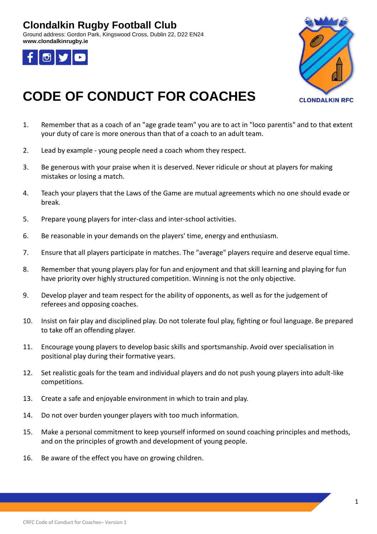## **Clondalkin Rugby Football Club**

Ground address: Gordon Park, Kingswood Cross, Dublin 22, D22 EN24 **www.clondalkinrugby.ie**





## **CODE OF CONDUCT FOR COACHES**

- 1. Remember that as a coach of an "age grade team" you are to act in "loco parentis" and to that extent your duty of care is more onerous than that of a coach to an adult team.
- 2. Lead by example young people need a coach whom they respect.
- 3. Be generous with your praise when it is deserved. Never ridicule or shout at players for making mistakes or losing a match.
- 4. Teach your players that the Laws of the Game are mutual agreements which no one should evade or break.
- 5. Prepare young players for inter-class and inter-school activities.
- 6. Be reasonable in your demands on the players' time, energy and enthusiasm.
- 7. Ensure that all players participate in matches. The "average" players require and deserve equal time.
- 8. Remember that young players play for fun and enjoyment and that skill learning and playing for fun have priority over highly structured competition. Winning is not the only objective.
- 9. Develop player and team respect for the ability of opponents, as well as for the judgement of referees and opposing coaches.
- 10. Insist on fair play and disciplined play. Do not tolerate foul play, fighting or foul language. Be prepared to take off an offending player.
- 11. Encourage young players to develop basic skills and sportsmanship. Avoid over specialisation in positional play during their formative years.
- 12. Set realistic goals for the team and individual players and do not push young players into adult-like competitions.
- 13. Create a safe and enjoyable environment in which to train and play.
- 14. Do not over burden younger players with too much information.
- 15. Make a personal commitment to keep yourself informed on sound coaching principles and methods, and on the principles of growth and development of young people.
- 16. Be aware of the effect you have on growing children.